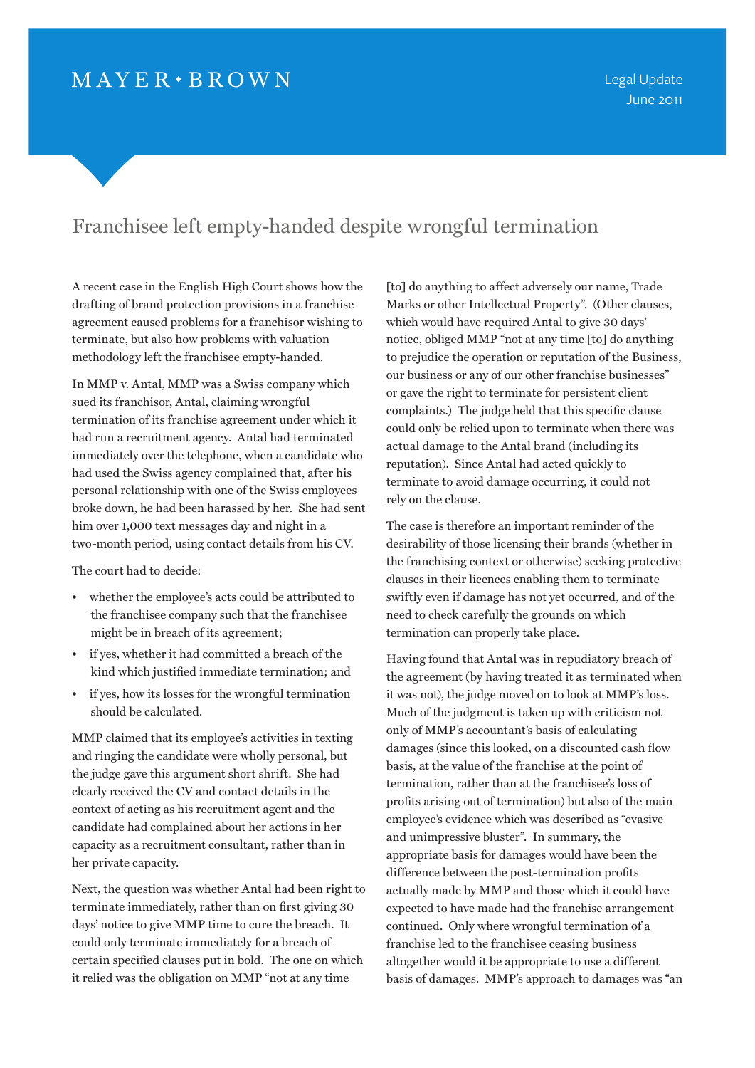## $MAYER \cdot BROWN$

## Franchisee left empty-handed despite wrongful termination

A recent case in the English High Court shows how the drafting of brand protection provisions in a franchise agreement caused problems for a franchisor wishing to terminate, but also how problems with valuation methodology left the franchisee empty-handed.

In MMP v. Antal, MMP was a Swiss company which sued its franchisor, Antal, claiming wrongful termination of its franchise agreement under which it had run a recruitment agency. Antal had terminated immediately over the telephone, when a candidate who had used the Swiss agency complained that, after his personal relationship with one of the Swiss employees broke down, he had been harassed by her. She had sent him over 1,000 text messages day and night in a two-month period, using contact details from his CV.

The court had to decide:

- whether the employee's acts could be attributed to the franchisee company such that the franchisee might be in breach of its agreement;
- if yes, whether it had committed a breach of the kind which justified immediate termination; and
- if yes, how its losses for the wrongful termination should be calculated.

MMP claimed that its employee's activities in texting and ringing the candidate were wholly personal, but the judge gave this argument short shrift. She had clearly received the CV and contact details in the context of acting as his recruitment agent and the candidate had complained about her actions in her capacity as a recruitment consultant, rather than in her private capacity.

Next, the question was whether Antal had been right to terminate immediately, rather than on first giving 30 days' notice to give MMP time to cure the breach. It could only terminate immediately for a breach of certain specified clauses put in bold. The one on which it relied was the obligation on MMP "not at any time

[to] do anything to affect adversely our name, Trade Marks or other Intellectual Property". (Other clauses, which would have required Antal to give 30 days' notice, obliged MMP "not at any time [to] do anything to prejudice the operation or reputation of the Business, our business or any of our other franchise businesses" or gave the right to terminate for persistent client complaints.) The judge held that this specific clause could only be relied upon to terminate when there was actual damage to the Antal brand (including its reputation). Since Antal had acted quickly to terminate to avoid damage occurring, it could not rely on the clause.

The case is therefore an important reminder of the desirability of those licensing their brands (whether in the franchising context or otherwise) seeking protective clauses in their licences enabling them to terminate swiftly even if damage has not yet occurred, and of the need to check carefully the grounds on which termination can properly take place.

Having found that Antal was in repudiatory breach of the agreement (by having treated it as terminated when it was not), the judge moved on to look at MMP's loss. Much of the judgment is taken up with criticism not only of MMP's accountant's basis of calculating damages (since this looked, on a discounted cash flow basis, at the value of the franchise at the point of termination, rather than at the franchisee's loss of profits arising out of termination) but also of the main employee's evidence which was described as "evasive and unimpressive bluster". In summary, the appropriate basis for damages would have been the difference between the post-termination profits actually made by MMP and those which it could have expected to have made had the franchise arrangement continued. Only where wrongful termination of a franchise led to the franchisee ceasing business altogether would it be appropriate to use a different basis of damages. MMP's approach to damages was "an